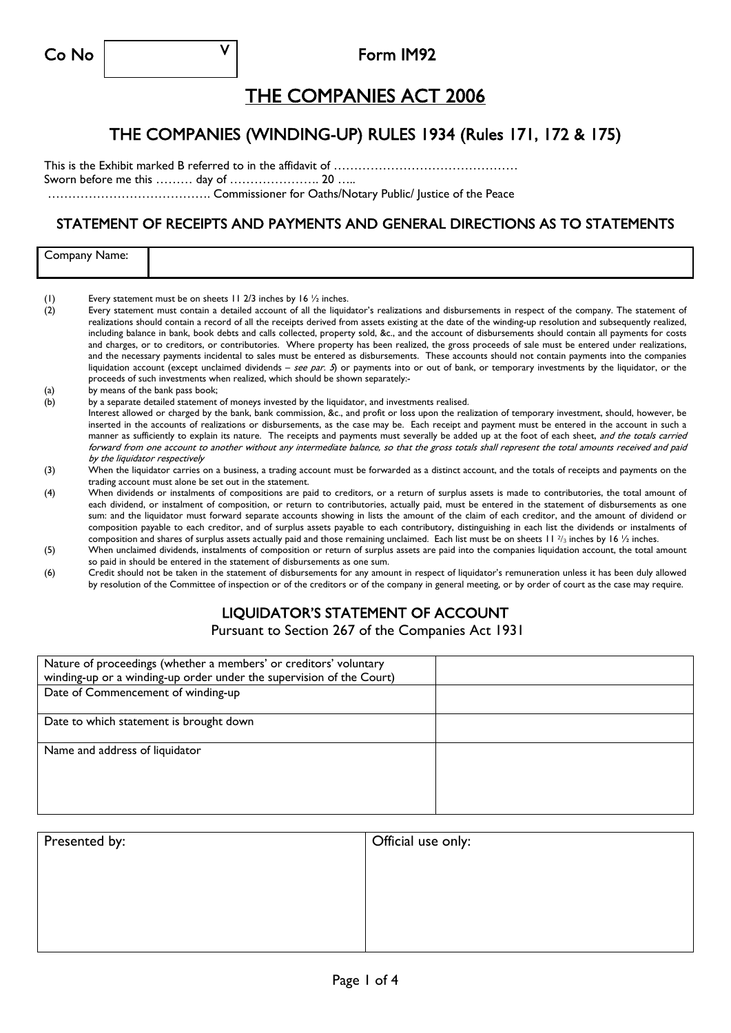$Co$  No  $\vert$   $V \vert$  Form IM92

## THE COMPANIES ACT 2006

## THE COMPANIES (WINDING-UP) RULES 1934 (Rules 171, 172 & 175)

This is the Exhibit marked B referred to in the affidavit of ………………………………………………… Sworn before me this ……… day of …………………. 20 ….. …………………………………. Commissioner for Oaths/Notary Public/ Justice of the Peace

#### STATEMENT OF RECEIPTS AND PAYMENTS AND GENERAL DIRECTIONS AS TO STATEMENTS

|            | Company Name: |                                                                                                                                                                                                                                   |
|------------|---------------|-----------------------------------------------------------------------------------------------------------------------------------------------------------------------------------------------------------------------------------|
| (1)<br>(2) |               | Every statement must be on sheets 11 2/3 inches by 16 $\frac{1}{2}$ inches.<br>Every statement must contain a detailed account of all the liquidator's realizations and disbursements in respect of the company. The statement of |

- realizations should contain a record of all the receipts derived from assets existing at the date of the winding-up resolution and subsequently realized, including balance in bank, book debts and calls collected, property sold, &c., and the account of disbursements should contain all payments for costs and charges, or to creditors, or contributories. Where property has been realized, the gross proceeds of sale must be entered under realizations, and the necessary payments incidental to sales must be entered as disbursements. These accounts should not contain payments into the companies liquidation account (except unclaimed dividends – see par. 5) or payments into or out of bank, or temporary investments by the liquidator, or the proceeds of such investments when realized, which should be shown separately:-
- (a) by means of the bank pass book;
- (b) by a separate detailed statement of moneys invested by the liquidator, and investments realised.
- Interest allowed or charged by the bank, bank commission, &c., and profit or loss upon the realization of temporary investment, should, however, be inserted in the accounts of realizations or disbursements, as the case may be. Each receipt and payment must be entered in the account in such a manner as sufficiently to explain its nature. The receipts and payments must severally be added up at the foot of each sheet, and the totals carried forward from one account to another without any intermediate balance, so that the gross totals shall represent the total amounts received and paid by the liquidator respectively
- (3) When the liquidator carries on a business, a trading account must be forwarded as a distinct account, and the totals of receipts and payments on the trading account must alone be set out in the statement.
- (4) When dividends or instalments of compositions are paid to creditors, or a return of surplus assets is made to contributories, the total amount of each dividend, or instalment of composition, or return to contributories, actually paid, must be entered in the statement of disbursements as one sum: and the liquidator must forward separate accounts showing in lists the amount of the claim of each creditor, and the amount of dividend or composition payable to each creditor, and of surplus assets payable to each contributory, distinguishing in each list the dividends or instalments of composition and shares of surplus assets actually paid and those remaining unclaimed. Each list must be on sheets  $11 \frac{2}{3}$  inches by 16  $\frac{1}{2}$  inches.
- (5) When unclaimed dividends, instalments of composition or return of surplus assets are paid into the companies liquidation account, the total amount so paid in should be entered in the statement of disbursements as one sum.
- (6) Credit should not be taken in the statement of disbursements for any amount in respect of liquidator's remuneration unless it has been duly allowed by resolution of the Committee of inspection or of the creditors or of the company in general meeting, or by order of court as the case may require.

### LIQUIDATOR'S STATEMENT OF ACCOUNT

Pursuant to Section 267 of the Companies Act 1931

| Nature of proceedings (whether a members' or creditors' voluntary    |  |
|----------------------------------------------------------------------|--|
| winding-up or a winding-up order under the supervision of the Court) |  |
| Date of Commencement of winding-up                                   |  |
|                                                                      |  |
| Date to which statement is brought down                              |  |
|                                                                      |  |
| Name and address of liquidator                                       |  |
|                                                                      |  |
|                                                                      |  |
|                                                                      |  |
|                                                                      |  |

| Presented by: | Official use only: |
|---------------|--------------------|
|               |                    |
|               |                    |
|               |                    |
|               |                    |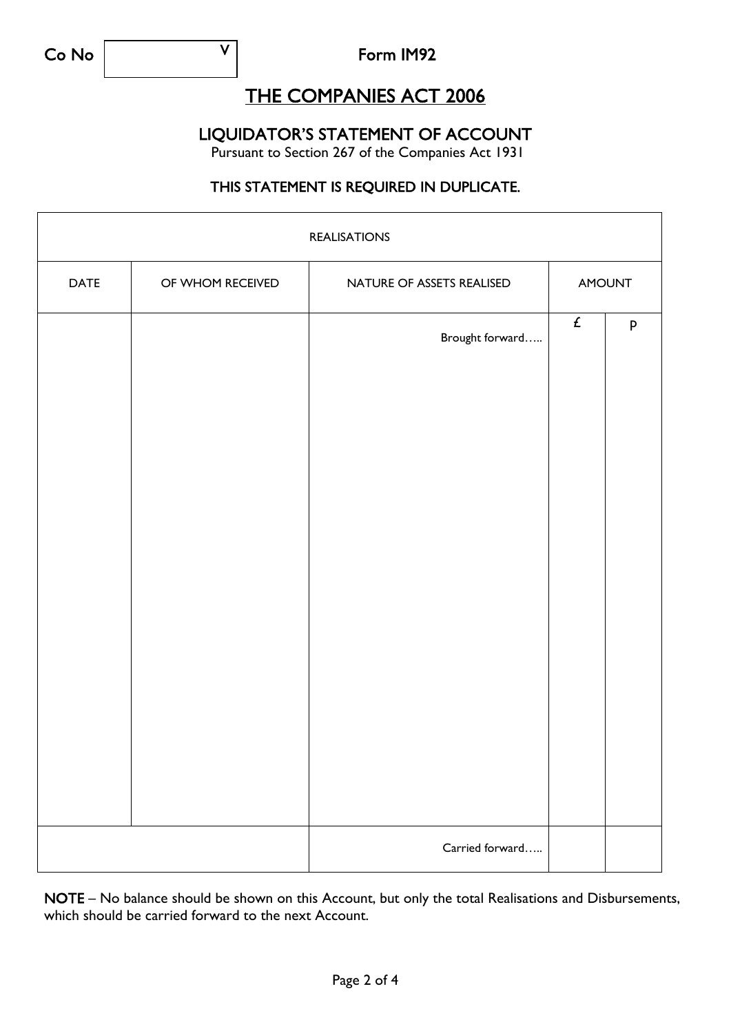## THE COMPANIES ACT 2006

## LIQUIDATOR'S STATEMENT OF ACCOUNT

Pursuant to Section 267 of the Companies Act 1931

#### THIS STATEMENT IS REQUIRED IN DUPLICATE.

| <b>REALISATIONS</b> |                  |                           |                    |   |  |
|---------------------|------------------|---------------------------|--------------------|---|--|
| <b>DATE</b>         | OF WHOM RECEIVED | NATURE OF ASSETS REALISED | <b>AMOUNT</b>      |   |  |
|                     |                  | Brought forward           | $\pmb{\mathit{L}}$ | P |  |
|                     |                  | Carried forward           |                    |   |  |

NOTE – No balance should be shown on this Account, but only the total Realisations and Disbursements, which should be carried forward to the next Account.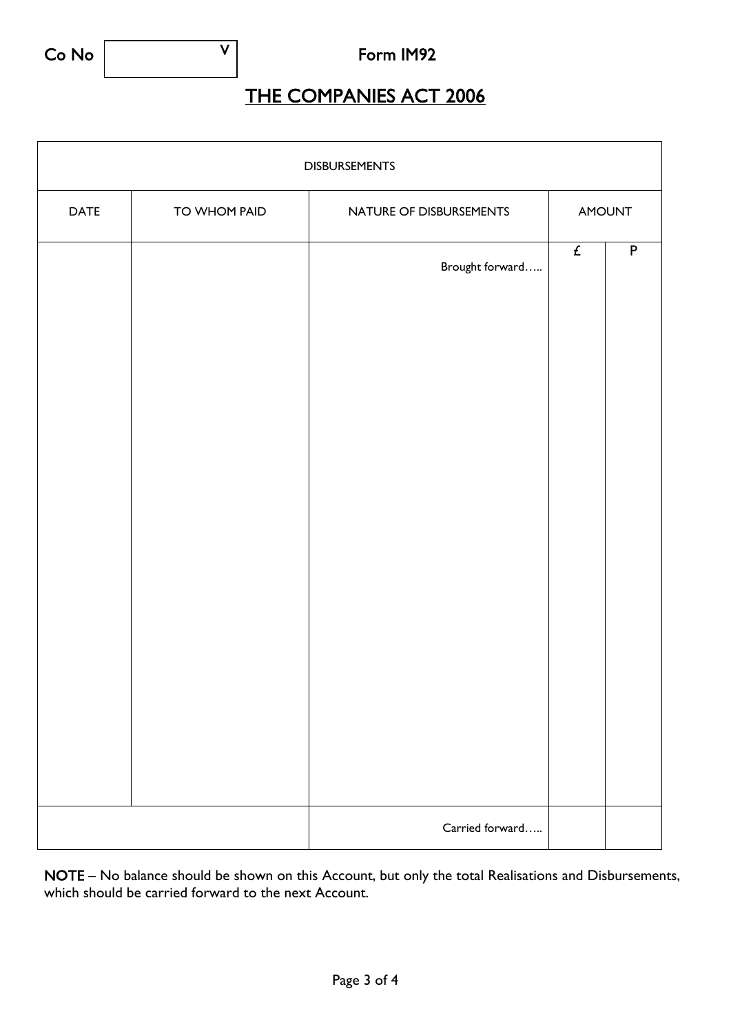# THE COMPANIES ACT 2006

| <b>DISBURSEMENTS</b> |              |                         |                    |                |  |
|----------------------|--------------|-------------------------|--------------------|----------------|--|
| <b>DATE</b>          | TO WHOM PAID | NATURE OF DISBURSEMENTS | <b>AMOUNT</b>      |                |  |
|                      |              | Brought forward         | $\pmb{\mathit{f}}$ | $\overline{P}$ |  |
|                      |              |                         |                    |                |  |
|                      |              | Carried forward         |                    |                |  |

NOTE – No balance should be shown on this Account, but only the total Realisations and Disbursements, which should be carried forward to the next Account.